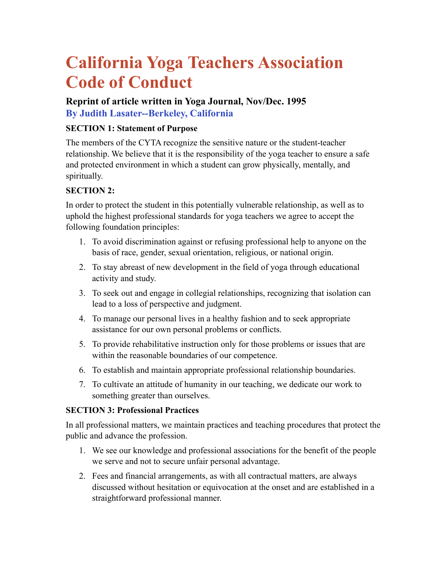# **California Yoga Teachers Association Code of Conduct**

## **Reprint of article written in Yoga Journal, Nov/Dec. 1995 By Judith Lasater--Berkeley, California**

### **SECTION 1: Statement of Purpose**

The members of the CYTA recognize the sensitive nature or the student-teacher relationship. We believe that it is the responsibility of the yoga teacher to ensure a safe and protected environment in which a student can grow physically, mentally, and spiritually.

## **SECTION 2:**

In order to protect the student in this potentially vulnerable relationship, as well as to uphold the highest professional standards for yoga teachers we agree to accept the following foundation principles:

- 1. To avoid discrimination against or refusing professional help to anyone on the basis of race, gender, sexual orientation, religious, or national origin.
- 2. To stay abreast of new development in the field of yoga through educational activity and study.
- 3. To seek out and engage in collegial relationships, recognizing that isolation can lead to a loss of perspective and judgment.
- 4. To manage our personal lives in a healthy fashion and to seek appropriate assistance for our own personal problems or conflicts.
- 5. To provide rehabilitative instruction only for those problems or issues that are within the reasonable boundaries of our competence.
- 6. To establish and maintain appropriate professional relationship boundaries.
- 7. To cultivate an attitude of humanity in our teaching, we dedicate our work to something greater than ourselves.

#### **SECTION 3: Professional Practices**

In all professional matters, we maintain practices and teaching procedures that protect the public and advance the profession.

- 1. We see our knowledge and professional associations for the benefit of the people we serve and not to secure unfair personal advantage.
- 2. Fees and financial arrangements, as with all contractual matters, are always discussed without hesitation or equivocation at the onset and are established in a straightforward professional manner.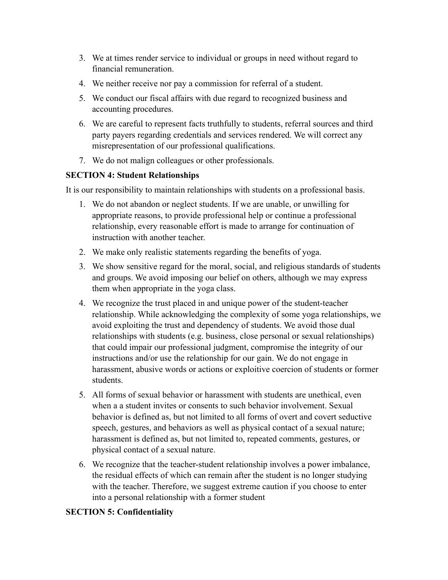- 3. We at times render service to individual or groups in need without regard to financial remuneration.
- 4. We neither receive nor pay a commission for referral of a student.
- 5. We conduct our fiscal affairs with due regard to recognized business and accounting procedures.
- 6. We are careful to represent facts truthfully to students, referral sources and third party payers regarding credentials and services rendered. We will correct any misrepresentation of our professional qualifications.
- 7. We do not malign colleagues or other professionals.

#### **SECTION 4: Student Relationships**

It is our responsibility to maintain relationships with students on a professional basis.

- 1. We do not abandon or neglect students. If we are unable, or unwilling for appropriate reasons, to provide professional help or continue a professional relationship, every reasonable effort is made to arrange for continuation of instruction with another teacher.
- 2. We make only realistic statements regarding the benefits of yoga.
- 3. We show sensitive regard for the moral, social, and religious standards of students and groups. We avoid imposing our belief on others, although we may express them when appropriate in the yoga class.
- 4. We recognize the trust placed in and unique power of the student-teacher relationship. While acknowledging the complexity of some yoga relationships, we avoid exploiting the trust and dependency of students. We avoid those dual relationships with students (e.g. business, close personal or sexual relationships) that could impair our professional judgment, compromise the integrity of our instructions and/or use the relationship for our gain. We do not engage in harassment, abusive words or actions or exploitive coercion of students or former students.
- 5. All forms of sexual behavior or harassment with students are unethical, even when a a student invites or consents to such behavior involvement. Sexual behavior is defined as, but not limited to all forms of overt and covert seductive speech, gestures, and behaviors as well as physical contact of a sexual nature; harassment is defined as, but not limited to, repeated comments, gestures, or physical contact of a sexual nature.
- 6. We recognize that the teacher-student relationship involves a power imbalance, the residual effects of which can remain after the student is no longer studying with the teacher. Therefore, we suggest extreme caution if you choose to enter into a personal relationship with a former student

#### **SECTION 5: Confidentiality**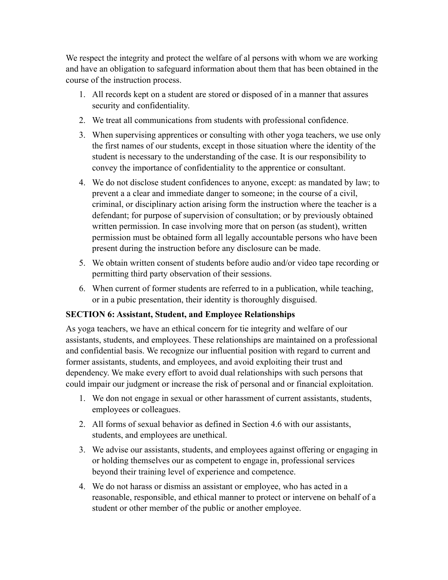We respect the integrity and protect the welfare of al persons with whom we are working and have an obligation to safeguard information about them that has been obtained in the course of the instruction process.

- 1. All records kept on a student are stored or disposed of in a manner that assures security and confidentiality.
- 2. We treat all communications from students with professional confidence.
- 3. When supervising apprentices or consulting with other yoga teachers, we use only the first names of our students, except in those situation where the identity of the student is necessary to the understanding of the case. It is our responsibility to convey the importance of confidentiality to the apprentice or consultant.
- 4. We do not disclose student confidences to anyone, except: as mandated by law; to prevent a a clear and immediate danger to someone; in the course of a civil, criminal, or disciplinary action arising form the instruction where the teacher is a defendant; for purpose of supervision of consultation; or by previously obtained written permission. In case involving more that on person (as student), written permission must be obtained form all legally accountable persons who have been present during the instruction before any disclosure can be made.
- 5. We obtain written consent of students before audio and/or video tape recording or permitting third party observation of their sessions.
- 6. When current of former students are referred to in a publication, while teaching, or in a pubic presentation, their identity is thoroughly disguised.

#### **SECTION 6: Assistant, Student, and Employee Relationships**

As yoga teachers, we have an ethical concern for tie integrity and welfare of our assistants, students, and employees. These relationships are maintained on a professional and confidential basis. We recognize our influential position with regard to current and former assistants, students, and employees, and avoid exploiting their trust and dependency. We make every effort to avoid dual relationships with such persons that could impair our judgment or increase the risk of personal and or financial exploitation.

- 1. We don not engage in sexual or other harassment of current assistants, students, employees or colleagues.
- 2. All forms of sexual behavior as defined in Section 4.6 with our assistants, students, and employees are unethical.
- 3. We advise our assistants, students, and employees against offering or engaging in or holding themselves our as competent to engage in, professional services beyond their training level of experience and competence.
- 4. We do not harass or dismiss an assistant or employee, who has acted in a reasonable, responsible, and ethical manner to protect or intervene on behalf of a student or other member of the public or another employee.